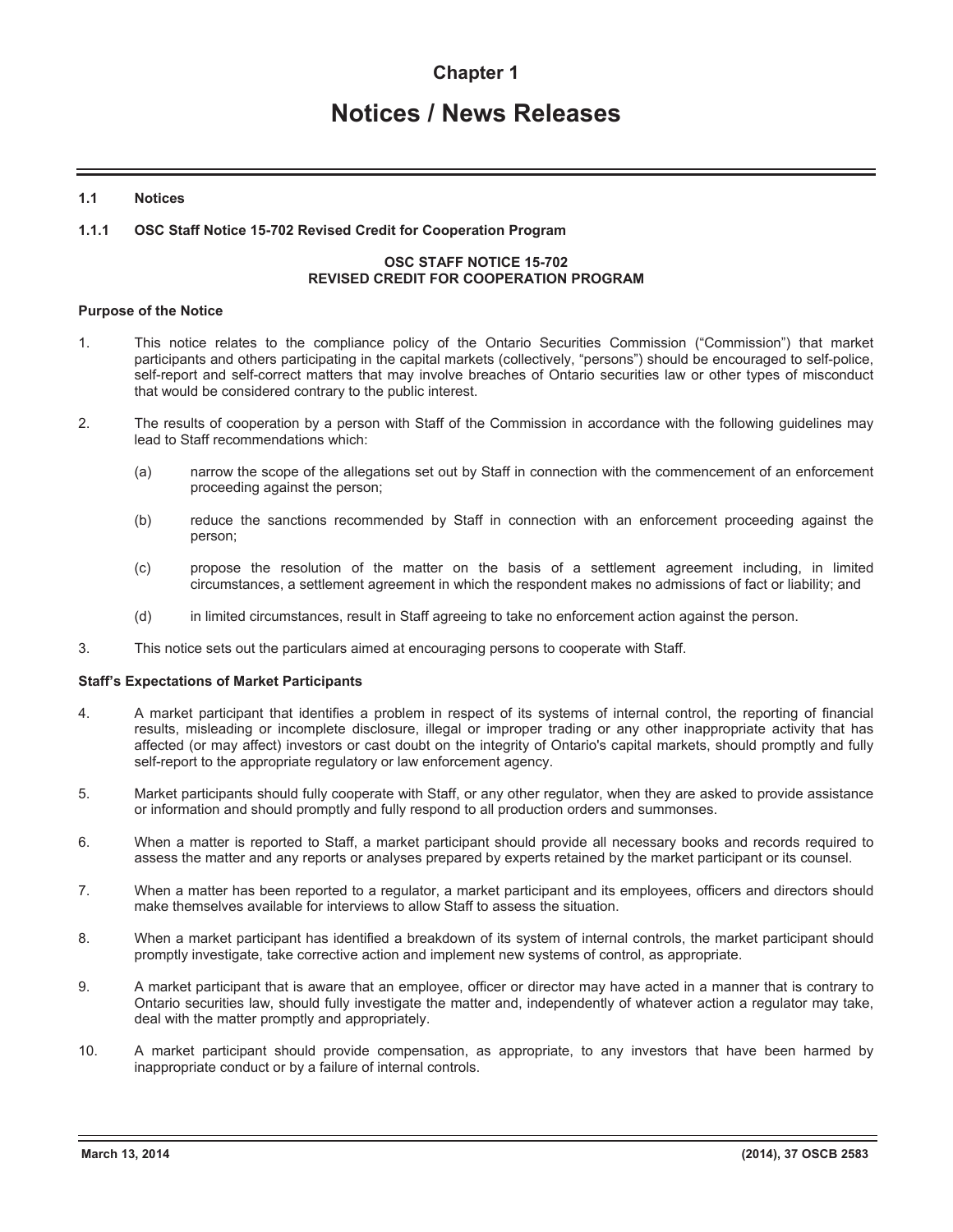# **Chapter 1**

# **Notices / News Releases**

# **1.1 Notices**

# **1.1.1 OSC Staff Notice 15-702 Revised Credit for Cooperation Program**

### **OSC STAFF NOTICE 15-702 REVISED CREDIT FOR COOPERATION PROGRAM**

#### **Purpose of the Notice**

- 1. This notice relates to the compliance policy of the Ontario Securities Commission ("Commission") that market participants and others participating in the capital markets (collectively, "persons") should be encouraged to self-police, self-report and self-correct matters that may involve breaches of Ontario securities law or other types of misconduct that would be considered contrary to the public interest.
- 2. The results of cooperation by a person with Staff of the Commission in accordance with the following guidelines may lead to Staff recommendations which:
	- (a) narrow the scope of the allegations set out by Staff in connection with the commencement of an enforcement proceeding against the person;
	- (b) reduce the sanctions recommended by Staff in connection with an enforcement proceeding against the person;
	- (c) propose the resolution of the matter on the basis of a settlement agreement including, in limited circumstances, a settlement agreement in which the respondent makes no admissions of fact or liability; and
	- (d) in limited circumstances, result in Staff agreeing to take no enforcement action against the person.
- 3. This notice sets out the particulars aimed at encouraging persons to cooperate with Staff.

#### **Staff's Expectations of Market Participants**

- 4. A market participant that identifies a problem in respect of its systems of internal control, the reporting of financial results, misleading or incomplete disclosure, illegal or improper trading or any other inappropriate activity that has affected (or may affect) investors or cast doubt on the integrity of Ontario's capital markets, should promptly and fully self-report to the appropriate regulatory or law enforcement agency.
- 5. Market participants should fully cooperate with Staff, or any other regulator, when they are asked to provide assistance or information and should promptly and fully respond to all production orders and summonses.
- 6. When a matter is reported to Staff, a market participant should provide all necessary books and records required to assess the matter and any reports or analyses prepared by experts retained by the market participant or its counsel.
- 7. When a matter has been reported to a regulator, a market participant and its employees, officers and directors should make themselves available for interviews to allow Staff to assess the situation.
- 8. When a market participant has identified a breakdown of its system of internal controls, the market participant should promptly investigate, take corrective action and implement new systems of control, as appropriate.
- 9. A market participant that is aware that an employee, officer or director may have acted in a manner that is contrary to Ontario securities law, should fully investigate the matter and, independently of whatever action a regulator may take, deal with the matter promptly and appropriately.
- 10. A market participant should provide compensation, as appropriate, to any investors that have been harmed by inappropriate conduct or by a failure of internal controls.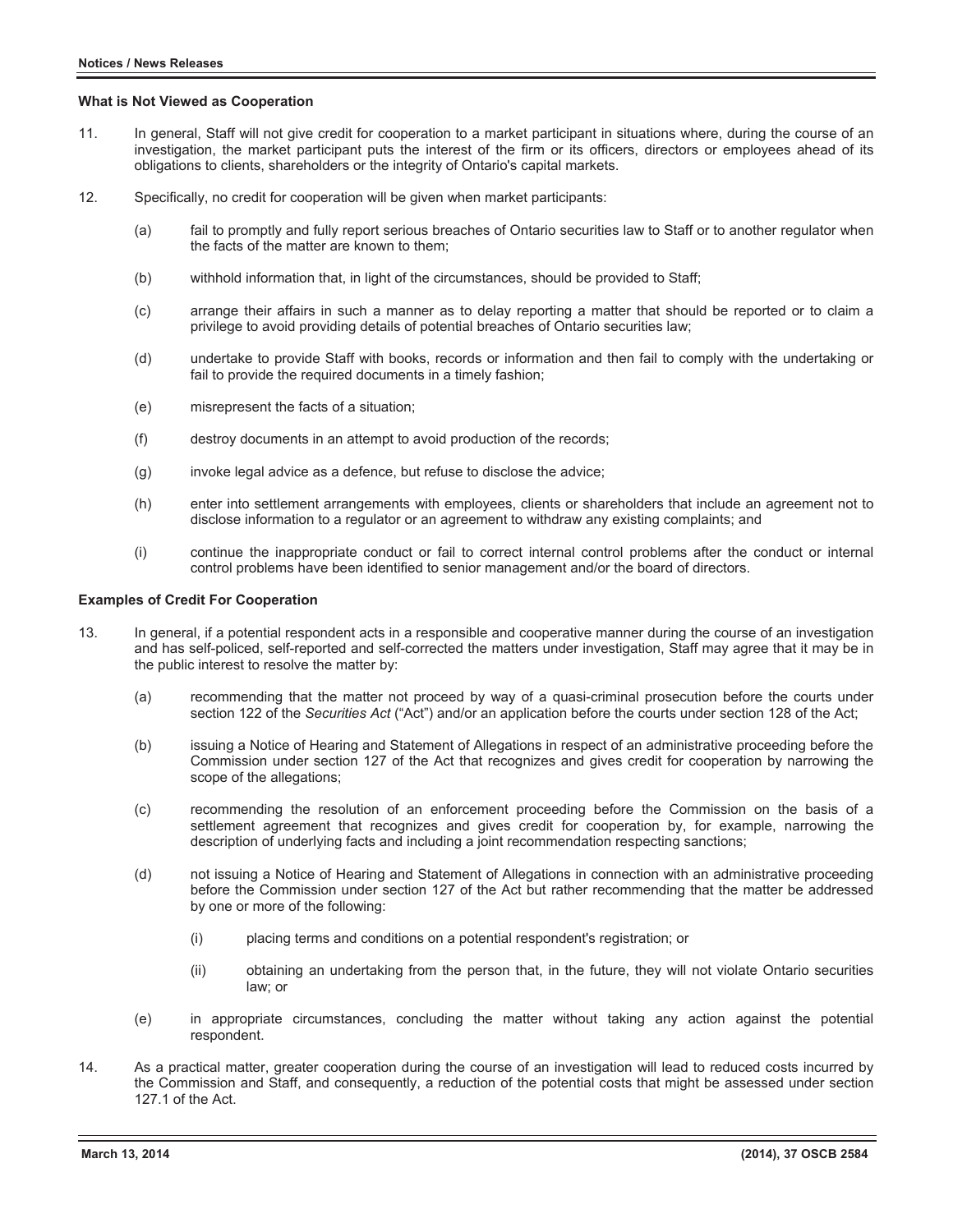# **What is Not Viewed as Cooperation**

- 11. In general, Staff will not give credit for cooperation to a market participant in situations where, during the course of an investigation, the market participant puts the interest of the firm or its officers, directors or employees ahead of its obligations to clients, shareholders or the integrity of Ontario's capital markets.
- 12. Specifically, no credit for cooperation will be given when market participants:
	- (a) fail to promptly and fully report serious breaches of Ontario securities law to Staff or to another regulator when the facts of the matter are known to them;
	- (b) withhold information that, in light of the circumstances, should be provided to Staff;
	- (c) arrange their affairs in such a manner as to delay reporting a matter that should be reported or to claim a privilege to avoid providing details of potential breaches of Ontario securities law;
	- (d) undertake to provide Staff with books, records or information and then fail to comply with the undertaking or fail to provide the required documents in a timely fashion;
	- (e) misrepresent the facts of a situation;
	- (f) destroy documents in an attempt to avoid production of the records;
	- (g) invoke legal advice as a defence, but refuse to disclose the advice;
	- (h) enter into settlement arrangements with employees, clients or shareholders that include an agreement not to disclose information to a regulator or an agreement to withdraw any existing complaints; and
	- (i) continue the inappropriate conduct or fail to correct internal control problems after the conduct or internal control problems have been identified to senior management and/or the board of directors.

### **Examples of Credit For Cooperation**

- 13. In general, if a potential respondent acts in a responsible and cooperative manner during the course of an investigation and has self-policed, self-reported and self-corrected the matters under investigation, Staff may agree that it may be in the public interest to resolve the matter by:
	- (a) recommending that the matter not proceed by way of a quasi-criminal prosecution before the courts under section 122 of the *Securities Act* ("Act") and/or an application before the courts under section 128 of the Act;
	- (b) issuing a Notice of Hearing and Statement of Allegations in respect of an administrative proceeding before the Commission under section 127 of the Act that recognizes and gives credit for cooperation by narrowing the scope of the allegations;
	- (c) recommending the resolution of an enforcement proceeding before the Commission on the basis of a settlement agreement that recognizes and gives credit for cooperation by, for example, narrowing the description of underlying facts and including a joint recommendation respecting sanctions;
	- (d) not issuing a Notice of Hearing and Statement of Allegations in connection with an administrative proceeding before the Commission under section 127 of the Act but rather recommending that the matter be addressed by one or more of the following:
		- (i) placing terms and conditions on a potential respondent's registration; or
		- (ii) obtaining an undertaking from the person that, in the future, they will not violate Ontario securities law; or
	- (e) in appropriate circumstances, concluding the matter without taking any action against the potential respondent.
- 14. As a practical matter, greater cooperation during the course of an investigation will lead to reduced costs incurred by the Commission and Staff, and consequently, a reduction of the potential costs that might be assessed under section 127.1 of the Act.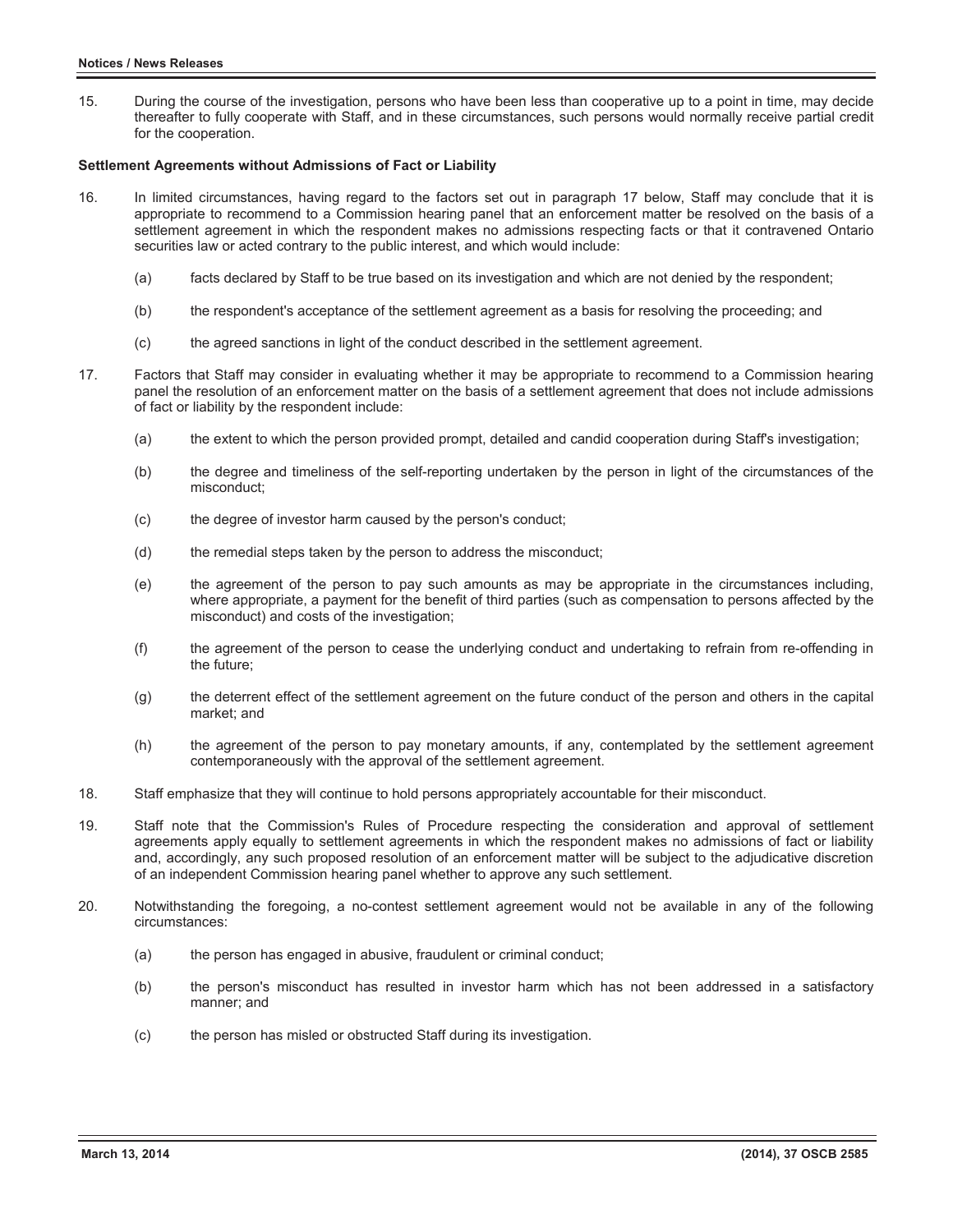15. During the course of the investigation, persons who have been less than cooperative up to a point in time, may decide thereafter to fully cooperate with Staff, and in these circumstances, such persons would normally receive partial credit for the cooperation.

#### **Settlement Agreements without Admissions of Fact or Liability**

- 16. In limited circumstances, having regard to the factors set out in paragraph 17 below, Staff may conclude that it is appropriate to recommend to a Commission hearing panel that an enforcement matter be resolved on the basis of a settlement agreement in which the respondent makes no admissions respecting facts or that it contravened Ontario securities law or acted contrary to the public interest, and which would include:
	- (a) facts declared by Staff to be true based on its investigation and which are not denied by the respondent;
	- (b) the respondent's acceptance of the settlement agreement as a basis for resolving the proceeding; and
	- (c) the agreed sanctions in light of the conduct described in the settlement agreement.
- 17. Factors that Staff may consider in evaluating whether it may be appropriate to recommend to a Commission hearing panel the resolution of an enforcement matter on the basis of a settlement agreement that does not include admissions of fact or liability by the respondent include:
	- (a) the extent to which the person provided prompt, detailed and candid cooperation during Staff's investigation;
	- (b) the degree and timeliness of the self-reporting undertaken by the person in light of the circumstances of the misconduct;
	- (c) the degree of investor harm caused by the person's conduct;
	- (d) the remedial steps taken by the person to address the misconduct;
	- (e) the agreement of the person to pay such amounts as may be appropriate in the circumstances including, where appropriate, a payment for the benefit of third parties (such as compensation to persons affected by the misconduct) and costs of the investigation;
	- (f) the agreement of the person to cease the underlying conduct and undertaking to refrain from re-offending in the future;
	- (g) the deterrent effect of the settlement agreement on the future conduct of the person and others in the capital market; and
	- (h) the agreement of the person to pay monetary amounts, if any, contemplated by the settlement agreement contemporaneously with the approval of the settlement agreement.
- 18. Staff emphasize that they will continue to hold persons appropriately accountable for their misconduct.
- 19. Staff note that the Commission's Rules of Procedure respecting the consideration and approval of settlement agreements apply equally to settlement agreements in which the respondent makes no admissions of fact or liability and, accordingly, any such proposed resolution of an enforcement matter will be subject to the adjudicative discretion of an independent Commission hearing panel whether to approve any such settlement.
- 20. Notwithstanding the foregoing, a no-contest settlement agreement would not be available in any of the following circumstances:
	- (a) the person has engaged in abusive, fraudulent or criminal conduct;
	- (b) the person's misconduct has resulted in investor harm which has not been addressed in a satisfactory manner; and
	- (c) the person has misled or obstructed Staff during its investigation.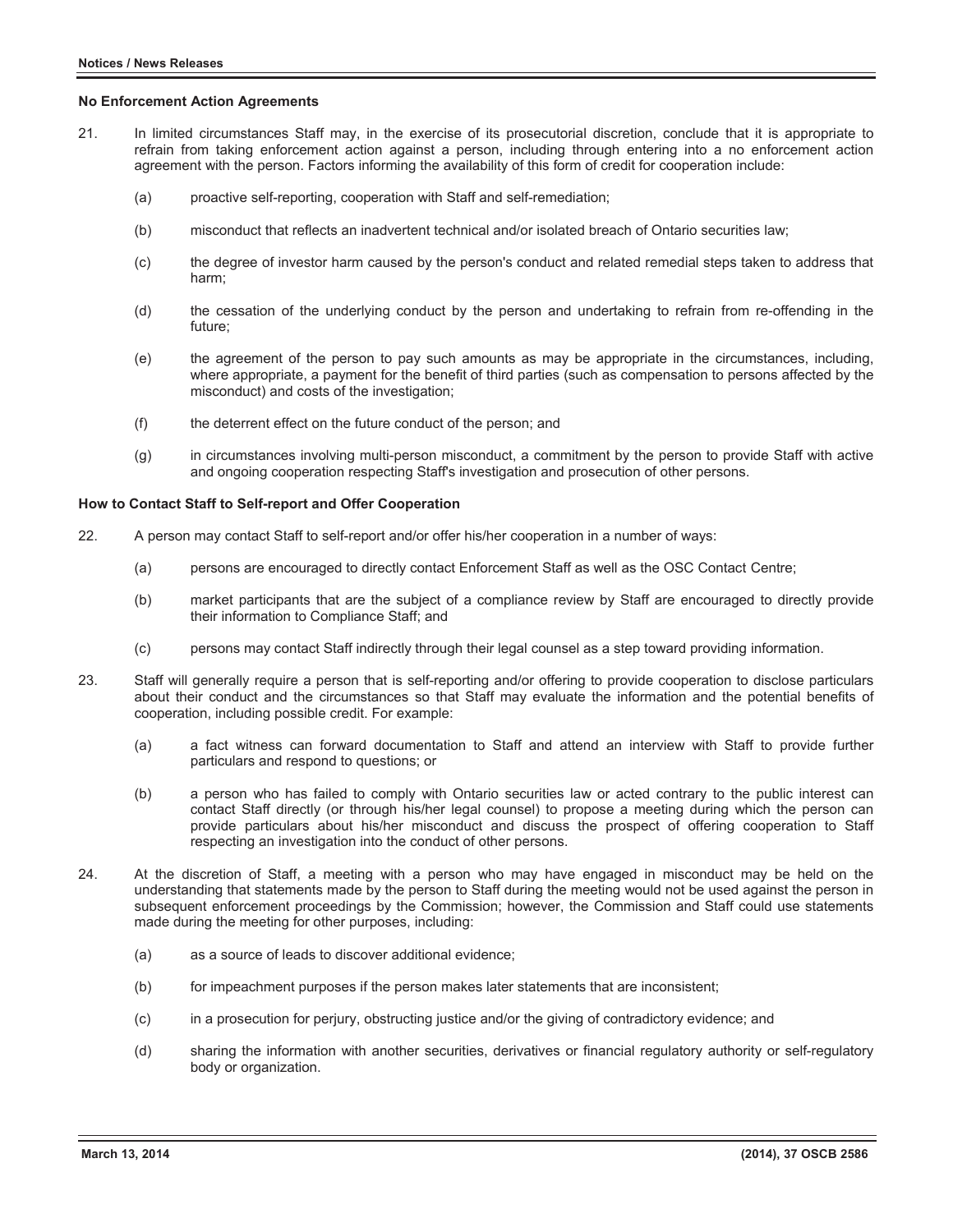#### **No Enforcement Action Agreements**

- 21. In limited circumstances Staff may, in the exercise of its prosecutorial discretion, conclude that it is appropriate to refrain from taking enforcement action against a person, including through entering into a no enforcement action agreement with the person. Factors informing the availability of this form of credit for cooperation include:
	- (a) proactive self-reporting, cooperation with Staff and self-remediation;
	- (b) misconduct that reflects an inadvertent technical and/or isolated breach of Ontario securities law;
	- (c) the degree of investor harm caused by the person's conduct and related remedial steps taken to address that harm;
	- (d) the cessation of the underlying conduct by the person and undertaking to refrain from re-offending in the future;
	- (e) the agreement of the person to pay such amounts as may be appropriate in the circumstances, including, where appropriate, a payment for the benefit of third parties (such as compensation to persons affected by the misconduct) and costs of the investigation;
	- (f) the deterrent effect on the future conduct of the person; and
	- (g) in circumstances involving multi-person misconduct, a commitment by the person to provide Staff with active and ongoing cooperation respecting Staff's investigation and prosecution of other persons.

#### **How to Contact Staff to Self-report and Offer Cooperation**

- 22. A person may contact Staff to self-report and/or offer his/her cooperation in a number of ways:
	- (a) persons are encouraged to directly contact Enforcement Staff as well as the OSC Contact Centre;
	- (b) market participants that are the subject of a compliance review by Staff are encouraged to directly provide their information to Compliance Staff; and
	- (c) persons may contact Staff indirectly through their legal counsel as a step toward providing information.
- 23. Staff will generally require a person that is self-reporting and/or offering to provide cooperation to disclose particulars about their conduct and the circumstances so that Staff may evaluate the information and the potential benefits of cooperation, including possible credit. For example:
	- (a) a fact witness can forward documentation to Staff and attend an interview with Staff to provide further particulars and respond to questions; or
	- (b) a person who has failed to comply with Ontario securities law or acted contrary to the public interest can contact Staff directly (or through his/her legal counsel) to propose a meeting during which the person can provide particulars about his/her misconduct and discuss the prospect of offering cooperation to Staff respecting an investigation into the conduct of other persons.
- 24. At the discretion of Staff, a meeting with a person who may have engaged in misconduct may be held on the understanding that statements made by the person to Staff during the meeting would not be used against the person in subsequent enforcement proceedings by the Commission; however, the Commission and Staff could use statements made during the meeting for other purposes, including:
	- (a) as a source of leads to discover additional evidence;
	- (b) for impeachment purposes if the person makes later statements that are inconsistent;
	- (c) in a prosecution for perjury, obstructing justice and/or the giving of contradictory evidence; and
	- (d) sharing the information with another securities, derivatives or financial regulatory authority or self-regulatory body or organization.